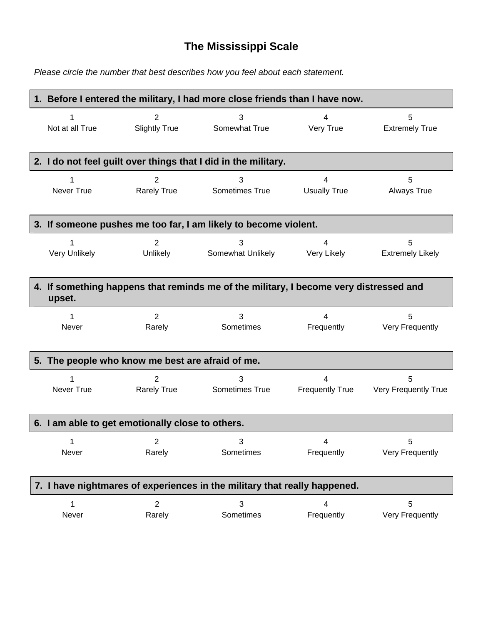## **The Mississippi Scale**

*Please circle the number that best describes how you feel about each statement.*

| 1. Before I entered the military, I had more close friends than I have now. |                                                                                       |                                                                 |                        |                         |  |
|-----------------------------------------------------------------------------|---------------------------------------------------------------------------------------|-----------------------------------------------------------------|------------------------|-------------------------|--|
| Not at all True                                                             | $\overline{2}$                                                                        | 3                                                               | 4                      | 5                       |  |
|                                                                             | <b>Slightly True</b>                                                                  | Somewhat True                                                   | Very True              | <b>Extremely True</b>   |  |
|                                                                             |                                                                                       | 2. I do not feel guilt over things that I did in the military.  |                        |                         |  |
| Never True                                                                  | 2                                                                                     | 3                                                               | 4                      | 5                       |  |
|                                                                             | <b>Rarely True</b>                                                                    | Sometimes True                                                  | <b>Usually True</b>    | <b>Always True</b>      |  |
|                                                                             |                                                                                       | 3. If someone pushes me too far, I am likely to become violent. |                        |                         |  |
| 1                                                                           | $\overline{2}$                                                                        | 3                                                               | $\overline{4}$         | 5                       |  |
| Very Unlikely                                                               | Unlikely                                                                              | Somewhat Unlikely                                               | Very Likely            | <b>Extremely Likely</b> |  |
| upset.                                                                      | 4. If something happens that reminds me of the military, I become very distressed and |                                                                 |                        |                         |  |
| 1                                                                           | $\overline{2}$                                                                        | 3                                                               | 4                      | 5                       |  |
| Never                                                                       | Rarely                                                                                | Sometimes                                                       | Frequently             | Very Frequently         |  |
|                                                                             | 5. The people who know me best are afraid of me.                                      |                                                                 |                        |                         |  |
| 1                                                                           | $\overline{2}$                                                                        | 3                                                               | 4                      | 5                       |  |
| Never True                                                                  | <b>Rarely True</b>                                                                    | Sometimes True                                                  | <b>Frequently True</b> | Very Frequently True    |  |
| 6. I am able to get emotionally close to others.                            |                                                                                       |                                                                 |                        |                         |  |
| 1                                                                           | $\mathcal{P}$                                                                         | 3                                                               | 4                      | 5.                      |  |
| Never                                                                       | Rarely                                                                                | Sometimes                                                       | Frequently             | Very Frequently         |  |
| 7. I have nightmares of experiences in the military that really happened.   |                                                                                       |                                                                 |                        |                         |  |
| 1                                                                           | $\overline{2}$                                                                        | 3                                                               | 4                      | 5                       |  |
| Never                                                                       | Rarely                                                                                | Sometimes                                                       | Frequently             | Very Frequently         |  |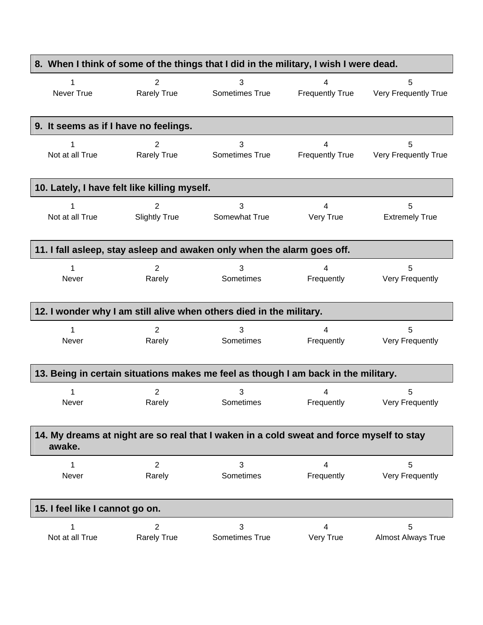| 8. When I think of some of the things that I did in the military, I wish I were dead. |                      |                                                                                          |                        |                           |
|---------------------------------------------------------------------------------------|----------------------|------------------------------------------------------------------------------------------|------------------------|---------------------------|
| 1                                                                                     | $\overline{2}$       | 3                                                                                        | 4                      | 5                         |
| Never True                                                                            | <b>Rarely True</b>   | Sometimes True                                                                           | <b>Frequently True</b> | Very Frequently True      |
| 9. It seems as if I have no feelings.                                                 |                      |                                                                                          |                        |                           |
| 1                                                                                     | 2                    | 3                                                                                        | 4                      | 5                         |
| Not at all True                                                                       | <b>Rarely True</b>   | Sometimes True                                                                           | <b>Frequently True</b> | Very Frequently True      |
| 10. Lately, I have felt like killing myself.                                          |                      |                                                                                          |                        |                           |
| 1                                                                                     | 2                    | 3                                                                                        | $\overline{4}$         | 5                         |
| Not at all True                                                                       | <b>Slightly True</b> | Somewhat True                                                                            | Very True              | <b>Extremely True</b>     |
|                                                                                       |                      | 11. I fall asleep, stay asleep and awaken only when the alarm goes off.                  |                        |                           |
| 1                                                                                     | $\overline{2}$       | 3                                                                                        | 4                      | 5                         |
| Never                                                                                 | Rarely               | Sometimes                                                                                | Frequently             | Very Frequently           |
|                                                                                       |                      | 12. I wonder why I am still alive when others died in the military.                      |                        |                           |
| 1                                                                                     | $\overline{2}$       | 3                                                                                        | 4                      | 5                         |
| Never                                                                                 | Rarely               | Sometimes                                                                                | Frequently             | Very Frequently           |
|                                                                                       |                      | 13. Being in certain situations makes me feel as though I am back in the military.       |                        |                           |
| Never                                                                                 | 2                    | 3                                                                                        | 4                      | 5                         |
|                                                                                       | Rarely               | Sometimes                                                                                | Frequently             | Very Frequently           |
| awake.                                                                                |                      | 14. My dreams at night are so real that I waken in a cold sweat and force myself to stay |                        |                           |
| 1                                                                                     | $\overline{2}$       | 3                                                                                        | 4                      | 5                         |
| Never                                                                                 | Rarely               | Sometimes                                                                                | Frequently             | Very Frequently           |
| 15. I feel like I cannot go on.                                                       |                      |                                                                                          |                        |                           |
| 1                                                                                     | $\overline{2}$       | 3                                                                                        | 4                      | 5                         |
| Not at all True                                                                       | <b>Rarely True</b>   | Sometimes True                                                                           | Very True              | <b>Almost Always True</b> |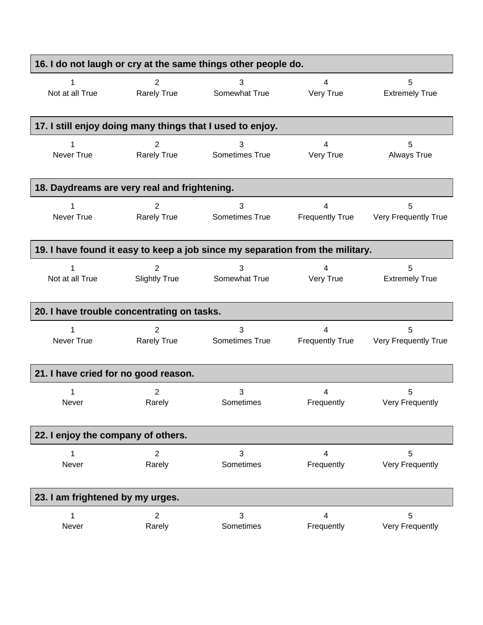| 16. I do not laugh or cry at the same things other people do. |                                      |                                                                               |                             |                             |
|---------------------------------------------------------------|--------------------------------------|-------------------------------------------------------------------------------|-----------------------------|-----------------------------|
| 1                                                             | 2                                    | 3                                                                             | 4                           | 5                           |
| Not at all True                                               | <b>Rarely True</b>                   | Somewhat True                                                                 | Very True                   | <b>Extremely True</b>       |
|                                                               |                                      | 17. I still enjoy doing many things that I used to enjoy.                     |                             |                             |
| Never True                                                    | 2<br><b>Rarely True</b>              | 3<br>Sometimes True                                                           | 4<br>Very True              | 5<br>Always True            |
| 18. Daydreams are very real and frightening.                  |                                      |                                                                               |                             |                             |
| Never True                                                    | $\overline{2}$<br><b>Rarely True</b> | 3<br>Sometimes True                                                           | 4<br><b>Frequently True</b> | 5<br>Very Frequently True   |
|                                                               |                                      | 19. I have found it easy to keep a job since my separation from the military. |                             |                             |
| Not at all True                                               | 2<br><b>Slightly True</b>            | 3<br>Somewhat True                                                            | 4<br>Very True              | 5<br><b>Extremely True</b>  |
| 20. I have trouble concentrating on tasks.                    |                                      |                                                                               |                             |                             |
| Never True                                                    | $\overline{2}$<br><b>Rarely True</b> | 3<br>Sometimes True                                                           | 4<br><b>Frequently True</b> | 5<br>Very Frequently True   |
| 21. I have cried for no good reason.                          |                                      |                                                                               |                             |                             |
| 1<br>Never                                                    | 2<br>Rarely                          | 3<br>Sometimes                                                                | 4<br>Frequently             | 5<br>Very Frequently        |
| 22. I enjoy the company of others.                            |                                      |                                                                               |                             |                             |
| 1<br>Never                                                    | $\overline{2}$<br>Rarely             | 3<br>Sometimes                                                                | 4<br>Frequently             | 5<br>Very Frequently        |
| 23. I am frightened by my urges.                              |                                      |                                                                               |                             |                             |
| 1<br>Never                                                    | $\overline{2}$<br>Rarely             | 3<br>Sometimes                                                                | 4<br>Frequently             | 5<br><b>Very Frequently</b> |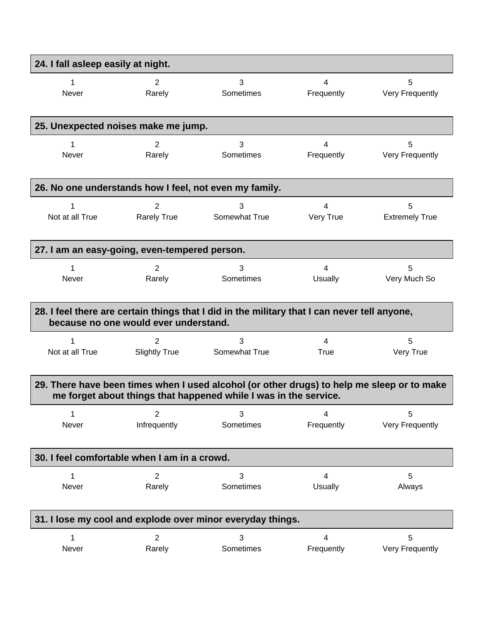| 24. I fall asleep easily at night.                                                                                                                             |                                                            |                                                                                              |                          |                       |  |
|----------------------------------------------------------------------------------------------------------------------------------------------------------------|------------------------------------------------------------|----------------------------------------------------------------------------------------------|--------------------------|-----------------------|--|
| 1                                                                                                                                                              | 2                                                          | 3                                                                                            | 4                        | 5                     |  |
| <b>Never</b>                                                                                                                                                   | Rarely                                                     | Sometimes                                                                                    | Frequently               | Very Frequently       |  |
| 25. Unexpected noises make me jump.                                                                                                                            |                                                            |                                                                                              |                          |                       |  |
| 1                                                                                                                                                              | 2                                                          | 3                                                                                            | 4                        | 5                     |  |
| Never                                                                                                                                                          | Rarely                                                     | Sometimes                                                                                    | Frequently               | Very Frequently       |  |
|                                                                                                                                                                |                                                            | 26. No one understands how I feel, not even my family.                                       |                          |                       |  |
| Not at all True                                                                                                                                                | 2                                                          | 3                                                                                            | 4                        | 5                     |  |
|                                                                                                                                                                | <b>Rarely True</b>                                         | Somewhat True                                                                                | Very True                | <b>Extremely True</b> |  |
| 27. I am an easy-going, even-tempered person.                                                                                                                  |                                                            |                                                                                              |                          |                       |  |
| 1                                                                                                                                                              | 2                                                          | 3                                                                                            | $\overline{4}$           | 5                     |  |
| <b>Never</b>                                                                                                                                                   | Rarely                                                     | Sometimes                                                                                    | Usually                  | Very Much So          |  |
|                                                                                                                                                                | because no one would ever understand.                      | 28. I feel there are certain things that I did in the military that I can never tell anyone, |                          |                       |  |
| 1                                                                                                                                                              | 2                                                          | 3                                                                                            | $\overline{4}$           | 5                     |  |
| Not at all True                                                                                                                                                | <b>Slightly True</b>                                       | Somewhat True                                                                                | True                     | Very True             |  |
| 29. There have been times when I used alcohol (or other drugs) to help me sleep or to make<br>me forget about things that happened while I was in the service. |                                                            |                                                                                              |                          |                       |  |
| 1                                                                                                                                                              | $\overline{2}$                                             | 3                                                                                            | 4                        | 5                     |  |
| Never                                                                                                                                                          | Infrequently                                               | Sometimes                                                                                    | Frequently               | Very Frequently       |  |
| 30. I feel comfortable when I am in a crowd.                                                                                                                   |                                                            |                                                                                              |                          |                       |  |
| 1                                                                                                                                                              | $\overline{2}$                                             | 3                                                                                            | 4                        | 5                     |  |
| Never                                                                                                                                                          | Rarely                                                     | Sometimes                                                                                    | <b>Usually</b>           | Always                |  |
|                                                                                                                                                                | 31. I lose my cool and explode over minor everyday things. |                                                                                              |                          |                       |  |
| 1                                                                                                                                                              | $\overline{2}$                                             | 3                                                                                            | $\overline{\mathcal{A}}$ | 5                     |  |
| Never                                                                                                                                                          | Rarely                                                     | Sometimes                                                                                    | Frequently               | Very Frequently       |  |